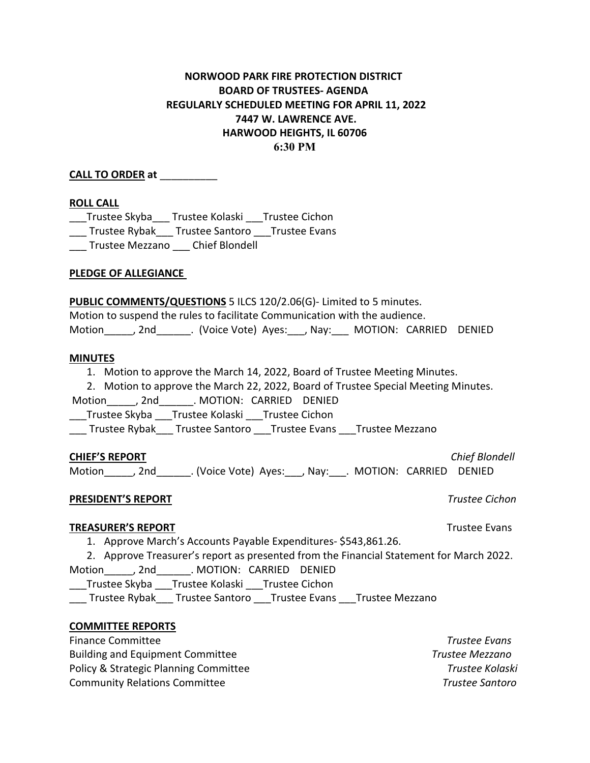# **NORWOOD PARK FIRE PROTECTION DISTRICT BOARD OF TRUSTEES- AGENDA REGULARLY SCHEDULED MEETING FOR APRIL 11, 2022 7447 W. LAWRENCE AVE. HARWOOD HEIGHTS, IL 60706 6:30 PM**

## **CALL TO ORDER at** \_\_\_\_\_\_\_\_\_\_

#### **ROLL CALL**

Trustee Skyba \_\_\_ Trustee Kolaski \_\_\_ Trustee Cichon \_\_\_ Trustee Rybak\_\_\_ Trustee Santoro Trustee Evans \_\_\_ Trustee Mezzano \_\_\_ Chief Blondell

### **PLEDGE OF ALLEGIANCE**

**PUBLIC COMMENTS/QUESTIONS** 5 ILCS 120/2.06(G)- Limited to 5 minutes. Motion to suspend the rules to facilitate Communication with the audience. Motion\_\_\_\_\_, 2nd\_\_\_\_\_\_. (Voice Vote) Ayes:\_\_\_, Nay:\_\_\_ MOTION: CARRIED DENIED

#### **MINUTES**

1. Motion to approve the March 14, 2022, Board of Trustee Meeting Minutes.

2. Motion to approve the March 22, 2022, Board of Trustee Special Meeting Minutes.

Motion\_\_\_\_\_, 2nd\_\_\_\_\_\_. MOTION: CARRIED DENIED

\_\_\_Trustee Skyba \_\_\_Trustee Kolaski \_\_\_Trustee Cichon

\_\_\_ Trustee Rybak\_\_\_ Trustee Santoro \_\_\_ Trustee Evans \_\_\_ Trustee Mezzano

#### **CHIEF'S REPORT** *Chief Blondell*

Motion\_\_\_\_\_, 2nd\_\_\_\_\_\_. (Voice Vote) Ayes:\_\_\_, Nay:\_\_\_. MOTION: CARRIED DENIED

#### **PRESIDENT'S REPORT** *Trustee Cichon*

#### **TREASURER'S REPORT** TREASURER'S **REPORT**

1. Approve March's Accounts Payable Expenditures- \$543,861.26.

2. Approve Treasurer's report as presented from the Financial Statement for March 2022.

Motion\_\_\_\_\_, 2nd\_\_\_\_\_\_. MOTION: CARRIED DENIED

\_\_\_Trustee Skyba \_\_\_Trustee Kolaski \_\_\_Trustee Cichon

Trustee Rybak Trustee Santoro Trustee Evans Trustee Mezzano

#### **COMMITTEE REPORTS**

Finance Committee *Trustee Evans*  Building and Equipment Committee *Trustee Mezzano* Policy & Strategic Planning Committee *Trustee Kolaski* Community Relations Committee *Trustee Santoro*